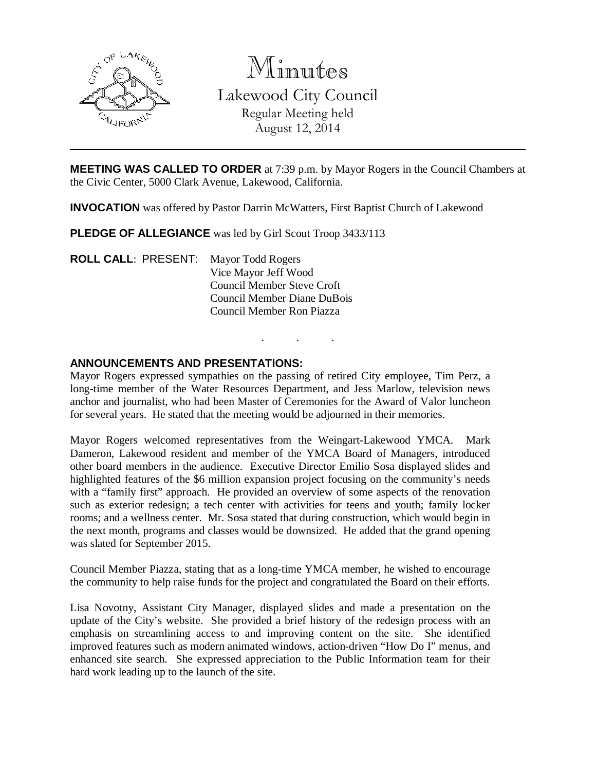

# Minutes

Lakewood City Council Regular Meeting held August 12, 2014

**MEETING WAS CALLED TO ORDER** at 7:39 p.m. by Mayor Rogers in the Council Chambers at the Civic Center, 5000 Clark Avenue, Lakewood, California.

**INVOCATION** was offered by Pastor Darrin McWatters, First Baptist Church of Lakewood

**PLEDGE OF ALLEGIANCE** was led by Girl Scout Troop 3433/113

**ROLL CALL**: PRESENT: Mayor Todd Rogers Vice Mayor Jeff Wood Council Member Steve Croft Council Member Diane DuBois Council Member Ron Piazza

### **ANNOUNCEMENTS AND PRESENTATIONS:**

Mayor Rogers expressed sympathies on the passing of retired City employee, Tim Perz, a long-time member of the Water Resources Department, and Jess Marlow, television news anchor and journalist, who had been Master of Ceremonies for the Award of Valor luncheon for several years. He stated that the meeting would be adjourned in their memories.

. . .

Mayor Rogers welcomed representatives from the Weingart-Lakewood YMCA. Mark Dameron, Lakewood resident and member of the YMCA Board of Managers, introduced other board members in the audience. Executive Director Emilio Sosa displayed slides and highlighted features of the \$6 million expansion project focusing on the community's needs with a "family first" approach. He provided an overview of some aspects of the renovation such as exterior redesign; a tech center with activities for teens and youth; family locker rooms; and a wellness center. Mr. Sosa stated that during construction, which would begin in the next month, programs and classes would be downsized. He added that the grand opening was slated for September 2015.

Council Member Piazza, stating that as a long-time YMCA member, he wished to encourage the community to help raise funds for the project and congratulated the Board on their efforts.

Lisa Novotny, Assistant City Manager, displayed slides and made a presentation on the update of the City's website. She provided a brief history of the redesign process with an emphasis on streamlining access to and improving content on the site. She identified improved features such as modern animated windows, action-driven "How Do I" menus, and enhanced site search. She expressed appreciation to the Public Information team for their hard work leading up to the launch of the site.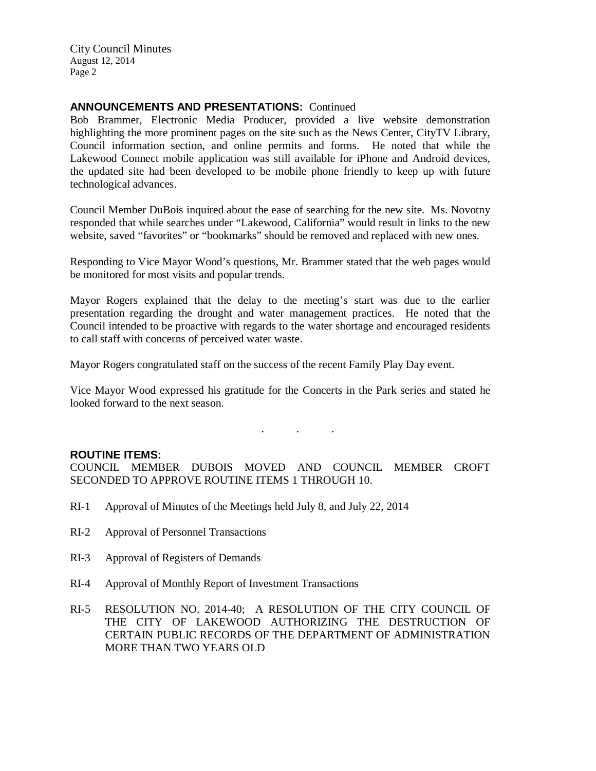### **ANNOUNCEMENTS AND PRESENTATIONS:** Continued

Bob Brammer, Electronic Media Producer, provided a live website demonstration highlighting the more prominent pages on the site such as the News Center, CityTV Library, Council information section, and online permits and forms. He noted that while the Lakewood Connect mobile application was still available for iPhone and Android devices, the updated site had been developed to be mobile phone friendly to keep up with future technological advances.

Council Member DuBois inquired about the ease of searching for the new site. Ms. Novotny responded that while searches under "Lakewood, California" would result in links to the new website, saved "favorites" or "bookmarks" should be removed and replaced with new ones.

Responding to Vice Mayor Wood's questions, Mr. Brammer stated that the web pages would be monitored for most visits and popular trends.

Mayor Rogers explained that the delay to the meeting's start was due to the earlier presentation regarding the drought and water management practices. He noted that the Council intended to be proactive with regards to the water shortage and encouraged residents to call staff with concerns of perceived water waste.

Mayor Rogers congratulated staff on the success of the recent Family Play Day event.

Vice Mayor Wood expressed his gratitude for the Concerts in the Park series and stated he looked forward to the next season.

. . .

#### **ROUTINE ITEMS:**

COUNCIL MEMBER DUBOIS MOVED AND COUNCIL MEMBER CROFT SECONDED TO APPROVE ROUTINE ITEMS 1 THROUGH 10.

- RI-1 Approval of Minutes of the Meetings held July 8, and July 22, 2014
- RI-2 Approval of Personnel Transactions
- RI-3 Approval of Registers of Demands
- RI-4 Approval of Monthly Report of Investment Transactions
- RI-5 RESOLUTION NO. 2014-40; A RESOLUTION OF THE CITY COUNCIL OF THE CITY OF LAKEWOOD AUTHORIZING THE DESTRUCTION OF CERTAIN PUBLIC RECORDS OF THE DEPARTMENT OF ADMINISTRATION MORE THAN TWO YEARS OLD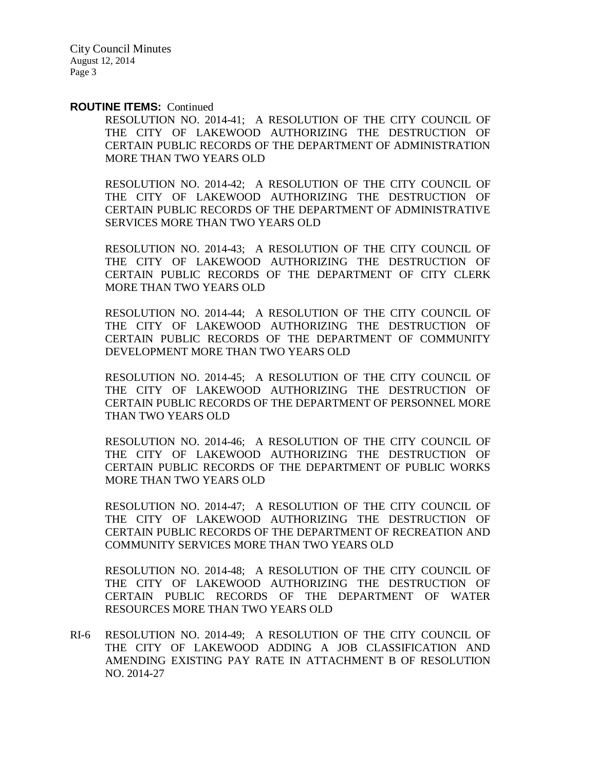#### **ROUTINE ITEMS:** Continued

RESOLUTION NO. 2014-41; A RESOLUTION OF THE CITY COUNCIL OF THE CITY OF LAKEWOOD AUTHORIZING THE DESTRUCTION OF CERTAIN PUBLIC RECORDS OF THE DEPARTMENT OF ADMINISTRATION MORE THAN TWO YEARS OLD

RESOLUTION NO. 2014-42; A RESOLUTION OF THE CITY COUNCIL OF THE CITY OF LAKEWOOD AUTHORIZING THE DESTRUCTION OF CERTAIN PUBLIC RECORDS OF THE DEPARTMENT OF ADMINISTRATIVE SERVICES MORE THAN TWO YEARS OLD

RESOLUTION NO. 2014-43; A RESOLUTION OF THE CITY COUNCIL OF THE CITY OF LAKEWOOD AUTHORIZING THE DESTRUCTION OF CERTAIN PUBLIC RECORDS OF THE DEPARTMENT OF CITY CLERK MORE THAN TWO YEARS OLD

RESOLUTION NO. 2014-44; A RESOLUTION OF THE CITY COUNCIL OF THE CITY OF LAKEWOOD AUTHORIZING THE DESTRUCTION OF CERTAIN PUBLIC RECORDS OF THE DEPARTMENT OF COMMUNITY DEVELOPMENT MORE THAN TWO YEARS OLD

RESOLUTION NO. 2014-45; A RESOLUTION OF THE CITY COUNCIL OF THE CITY OF LAKEWOOD AUTHORIZING THE DESTRUCTION OF CERTAIN PUBLIC RECORDS OF THE DEPARTMENT OF PERSONNEL MORE THAN TWO YEARS OLD

RESOLUTION NO. 2014-46; A RESOLUTION OF THE CITY COUNCIL OF THE CITY OF LAKEWOOD AUTHORIZING THE DESTRUCTION OF CERTAIN PUBLIC RECORDS OF THE DEPARTMENT OF PUBLIC WORKS MORE THAN TWO YEARS OLD

RESOLUTION NO. 2014-47; A RESOLUTION OF THE CITY COUNCIL OF THE CITY OF LAKEWOOD AUTHORIZING THE DESTRUCTION OF CERTAIN PUBLIC RECORDS OF THE DEPARTMENT OF RECREATION AND COMMUNITY SERVICES MORE THAN TWO YEARS OLD

RESOLUTION NO. 2014-48; A RESOLUTION OF THE CITY COUNCIL OF THE CITY OF LAKEWOOD AUTHORIZING THE DESTRUCTION OF CERTAIN PUBLIC RECORDS OF THE DEPARTMENT OF WATER RESOURCES MORE THAN TWO YEARS OLD

RI-6 RESOLUTION NO. 2014-49; A RESOLUTION OF THE CITY COUNCIL OF THE CITY OF LAKEWOOD ADDING A JOB CLASSIFICATION AND AMENDING EXISTING PAY RATE IN ATTACHMENT B OF RESOLUTION NO. 2014-27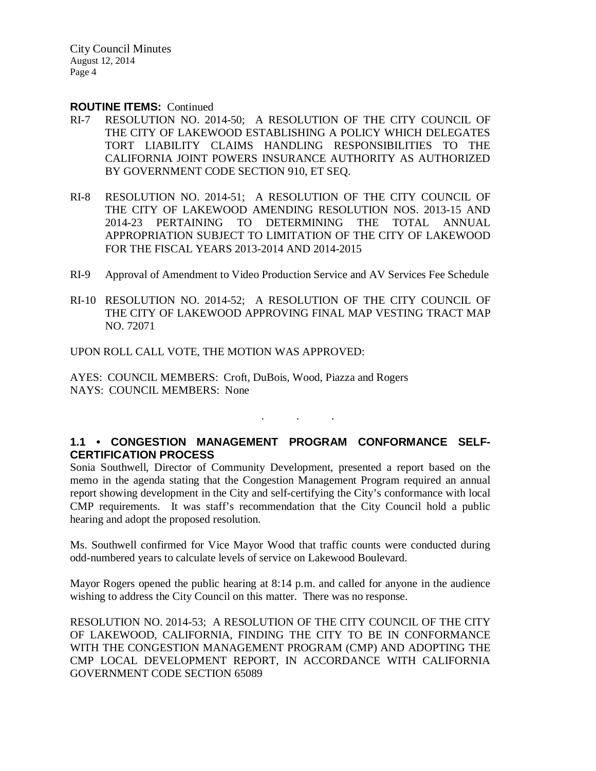#### **ROUTINE ITEMS:** Continued

- RI-7 RESOLUTION NO. 2014-50; A RESOLUTION OF THE CITY COUNCIL OF THE CITY OF LAKEWOOD ESTABLISHING A POLICY WHICH DELEGATES TORT LIABILITY CLAIMS HANDLING RESPONSIBILITIES TO THE CALIFORNIA JOINT POWERS INSURANCE AUTHORITY AS AUTHORIZED BY GOVERNMENT CODE SECTION 910, ET SEQ.
- RI-8 RESOLUTION NO. 2014-51; A RESOLUTION OF THE CITY COUNCIL OF THE CITY OF LAKEWOOD AMENDING RESOLUTION NOS. 2013-15 AND 2014-23 PERTAINING TO DETERMINING THE TOTAL ANNUAL APPROPRIATION SUBJECT TO LIMITATION OF THE CITY OF LAKEWOOD FOR THE FISCAL YEARS 2013-2014 AND 2014-2015
- RI-9 Approval of Amendment to Video Production Service and AV Services Fee Schedule
- RI-10 RESOLUTION NO. 2014-52; A RESOLUTION OF THE CITY COUNCIL OF THE CITY OF LAKEWOOD APPROVING FINAL MAP VESTING TRACT MAP NO. 72071

UPON ROLL CALL VOTE, THE MOTION WAS APPROVED:

AYES: COUNCIL MEMBERS: Croft, DuBois, Wood, Piazza and Rogers NAYS: COUNCIL MEMBERS: None

## **1.1 • CONGESTION MANAGEMENT PROGRAM CONFORMANCE SELF-CERTIFICATION PROCESS**

. . .

Sonia Southwell, Director of Community Development, presented a report based on the memo in the agenda stating that the Congestion Management Program required an annual report showing development in the City and self-certifying the City's conformance with local CMP requirements. It was staff's recommendation that the City Council hold a public hearing and adopt the proposed resolution.

Ms. Southwell confirmed for Vice Mayor Wood that traffic counts were conducted during odd-numbered years to calculate levels of service on Lakewood Boulevard.

Mayor Rogers opened the public hearing at 8:14 p.m. and called for anyone in the audience wishing to address the City Council on this matter. There was no response.

RESOLUTION NO. 2014-53; A RESOLUTION OF THE CITY COUNCIL OF THE CITY OF LAKEWOOD, CALIFORNIA, FINDING THE CITY TO BE IN CONFORMANCE WITH THE CONGESTION MANAGEMENT PROGRAM (CMP) AND ADOPTING THE CMP LOCAL DEVELOPMENT REPORT, IN ACCORDANCE WITH CALIFORNIA GOVERNMENT CODE SECTION 65089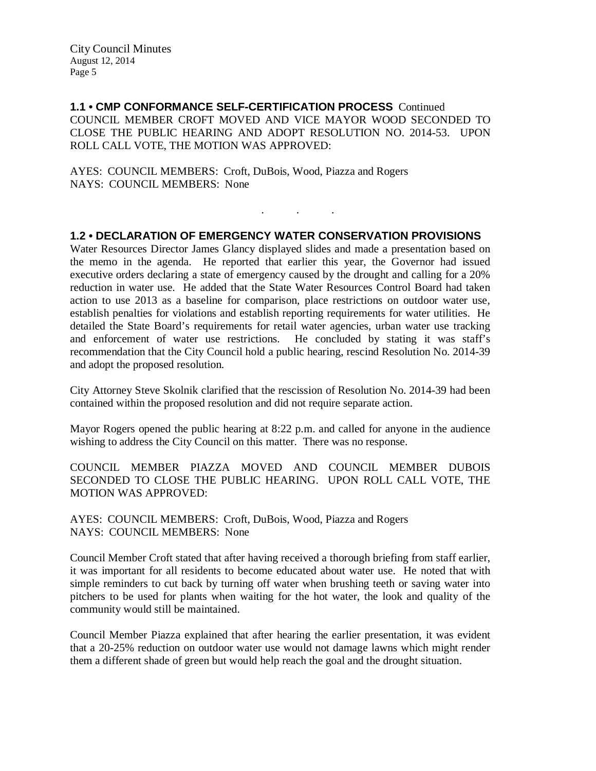**1.1 • CMP CONFORMANCE SELF-CERTIFICATION PROCESS** Continued COUNCIL MEMBER CROFT MOVED AND VICE MAYOR WOOD SECONDED TO CLOSE THE PUBLIC HEARING AND ADOPT RESOLUTION NO. 2014-53. UPON ROLL CALL VOTE, THE MOTION WAS APPROVED:

AYES: COUNCIL MEMBERS: Croft, DuBois, Wood, Piazza and Rogers NAYS: COUNCIL MEMBERS: None

### **1.2 • DECLARATION OF EMERGENCY WATER CONSERVATION PROVISIONS**

. . .

Water Resources Director James Glancy displayed slides and made a presentation based on the memo in the agenda. He reported that earlier this year, the Governor had issued executive orders declaring a state of emergency caused by the drought and calling for a 20% reduction in water use. He added that the State Water Resources Control Board had taken action to use 2013 as a baseline for comparison, place restrictions on outdoor water use, establish penalties for violations and establish reporting requirements for water utilities. He detailed the State Board's requirements for retail water agencies, urban water use tracking and enforcement of water use restrictions. He concluded by stating it was staff's recommendation that the City Council hold a public hearing, rescind Resolution No. 2014-39 and adopt the proposed resolution.

City Attorney Steve Skolnik clarified that the rescission of Resolution No. 2014-39 had been contained within the proposed resolution and did not require separate action.

Mayor Rogers opened the public hearing at 8:22 p.m. and called for anyone in the audience wishing to address the City Council on this matter. There was no response.

COUNCIL MEMBER PIAZZA MOVED AND COUNCIL MEMBER DUBOIS SECONDED TO CLOSE THE PUBLIC HEARING. UPON ROLL CALL VOTE, THE MOTION WAS APPROVED:

AYES: COUNCIL MEMBERS: Croft, DuBois, Wood, Piazza and Rogers NAYS: COUNCIL MEMBERS: None

Council Member Croft stated that after having received a thorough briefing from staff earlier, it was important for all residents to become educated about water use. He noted that with simple reminders to cut back by turning off water when brushing teeth or saving water into pitchers to be used for plants when waiting for the hot water, the look and quality of the community would still be maintained.

Council Member Piazza explained that after hearing the earlier presentation, it was evident that a 20-25% reduction on outdoor water use would not damage lawns which might render them a different shade of green but would help reach the goal and the drought situation.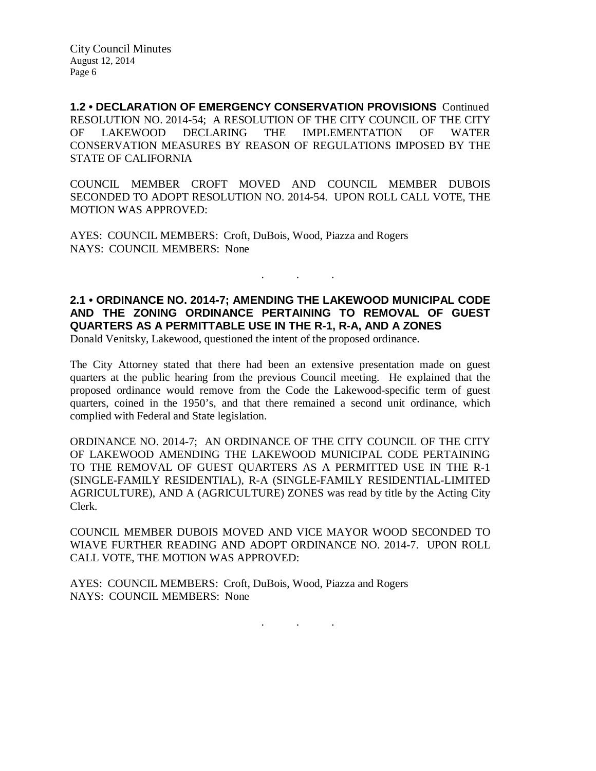**1.2 • DECLARATION OF EMERGENCY CONSERVATION PROVISIONS** Continued RESOLUTION NO. 2014-54; A RESOLUTION OF THE CITY COUNCIL OF THE CITY OF LAKEWOOD DECLARING THE IMPLEMENTATION OF WATER CONSERVATION MEASURES BY REASON OF REGULATIONS IMPOSED BY THE STATE OF CALIFORNIA

COUNCIL MEMBER CROFT MOVED AND COUNCIL MEMBER DUBOIS SECONDED TO ADOPT RESOLUTION NO. 2014-54. UPON ROLL CALL VOTE, THE MOTION WAS APPROVED:

AYES: COUNCIL MEMBERS: Croft, DuBois, Wood, Piazza and Rogers NAYS: COUNCIL MEMBERS: None

## **2.1 • ORDINANCE NO. 2014-7; AMENDING THE LAKEWOOD MUNICIPAL CODE AND THE ZONING ORDINANCE PERTAINING TO REMOVAL OF GUEST QUARTERS AS A PERMITTABLE USE IN THE R-1, R-A, AND A ZONES**

. . .

Donald Venitsky, Lakewood, questioned the intent of the proposed ordinance.

The City Attorney stated that there had been an extensive presentation made on guest quarters at the public hearing from the previous Council meeting. He explained that the proposed ordinance would remove from the Code the Lakewood-specific term of guest quarters, coined in the 1950's, and that there remained a second unit ordinance, which complied with Federal and State legislation.

ORDINANCE NO. 2014-7; AN ORDINANCE OF THE CITY COUNCIL OF THE CITY OF LAKEWOOD AMENDING THE LAKEWOOD MUNICIPAL CODE PERTAINING TO THE REMOVAL OF GUEST QUARTERS AS A PERMITTED USE IN THE R-1 (SINGLE-FAMILY RESIDENTIAL), R-A (SINGLE-FAMILY RESIDENTIAL-LIMITED AGRICULTURE), AND A (AGRICULTURE) ZONES was read by title by the Acting City Clerk.

COUNCIL MEMBER DUBOIS MOVED AND VICE MAYOR WOOD SECONDED TO WIAVE FURTHER READING AND ADOPT ORDINANCE NO. 2014-7. UPON ROLL CALL VOTE, THE MOTION WAS APPROVED:

AYES: COUNCIL MEMBERS: Croft, DuBois, Wood, Piazza and Rogers NAYS: COUNCIL MEMBERS: None

. . .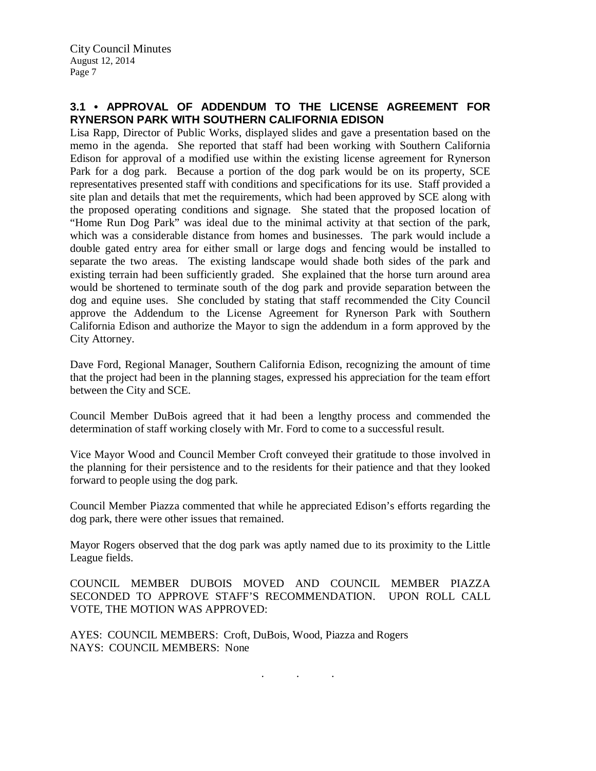## **3.1 • APPROVAL OF ADDENDUM TO THE LICENSE AGREEMENT FOR RYNERSON PARK WITH SOUTHERN CALIFORNIA EDISON**

Lisa Rapp, Director of Public Works, displayed slides and gave a presentation based on the memo in the agenda. She reported that staff had been working with Southern California Edison for approval of a modified use within the existing license agreement for Rynerson Park for a dog park. Because a portion of the dog park would be on its property, SCE representatives presented staff with conditions and specifications for its use. Staff provided a site plan and details that met the requirements, which had been approved by SCE along with the proposed operating conditions and signage. She stated that the proposed location of "Home Run Dog Park" was ideal due to the minimal activity at that section of the park, which was a considerable distance from homes and businesses. The park would include a double gated entry area for either small or large dogs and fencing would be installed to separate the two areas. The existing landscape would shade both sides of the park and existing terrain had been sufficiently graded. She explained that the horse turn around area would be shortened to terminate south of the dog park and provide separation between the dog and equine uses. She concluded by stating that staff recommended the City Council approve the Addendum to the License Agreement for Rynerson Park with Southern California Edison and authorize the Mayor to sign the addendum in a form approved by the City Attorney.

Dave Ford, Regional Manager, Southern California Edison, recognizing the amount of time that the project had been in the planning stages, expressed his appreciation for the team effort between the City and SCE.

Council Member DuBois agreed that it had been a lengthy process and commended the determination of staff working closely with Mr. Ford to come to a successful result.

Vice Mayor Wood and Council Member Croft conveyed their gratitude to those involved in the planning for their persistence and to the residents for their patience and that they looked forward to people using the dog park.

Council Member Piazza commented that while he appreciated Edison's efforts regarding the dog park, there were other issues that remained.

Mayor Rogers observed that the dog park was aptly named due to its proximity to the Little League fields.

COUNCIL MEMBER DUBOIS MOVED AND COUNCIL MEMBER PIAZZA SECONDED TO APPROVE STAFF'S RECOMMENDATION. UPON ROLL CALL VOTE, THE MOTION WAS APPROVED:

. . .

AYES: COUNCIL MEMBERS: Croft, DuBois, Wood, Piazza and Rogers NAYS: COUNCIL MEMBERS: None